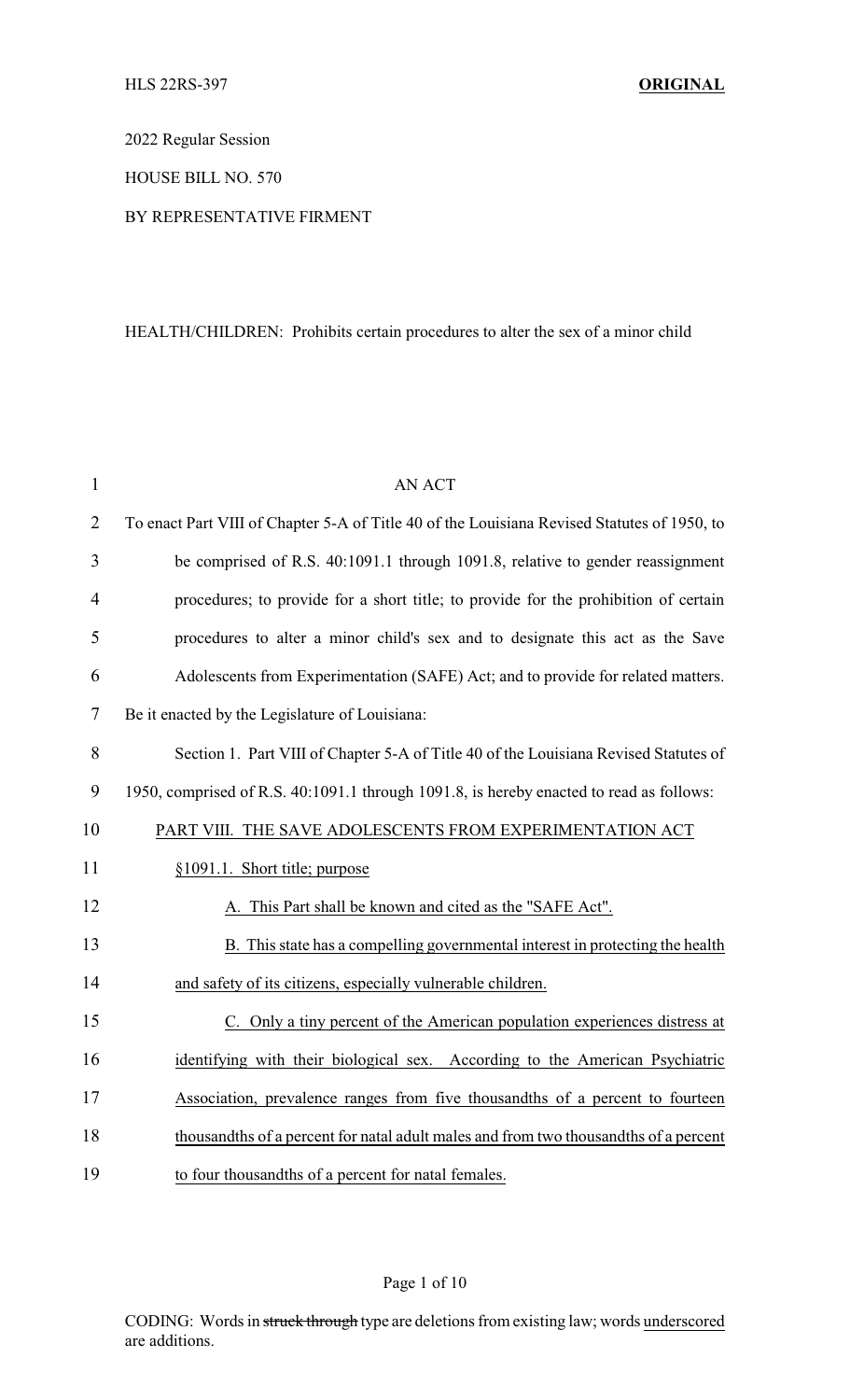2022 Regular Session

HOUSE BILL NO. 570

### BY REPRESENTATIVE FIRMENT

## HEALTH/CHILDREN: Prohibits certain procedures to alter the sex of a minor child

| $\mathbf{1}$   | <b>AN ACT</b>                                                                               |  |
|----------------|---------------------------------------------------------------------------------------------|--|
| $\overline{2}$ | To enact Part VIII of Chapter 5-A of Title 40 of the Louisiana Revised Statutes of 1950, to |  |
| 3              | be comprised of R.S. 40:1091.1 through 1091.8, relative to gender reassignment              |  |
| $\overline{4}$ | procedures; to provide for a short title; to provide for the prohibition of certain         |  |
| 5              | procedures to alter a minor child's sex and to designate this act as the Save               |  |
| 6              | Adolescents from Experimentation (SAFE) Act; and to provide for related matters.            |  |
| 7              | Be it enacted by the Legislature of Louisiana:                                              |  |
| 8              | Section 1. Part VIII of Chapter 5-A of Title 40 of the Louisiana Revised Statutes of        |  |
| 9              | 1950, comprised of R.S. 40:1091.1 through 1091.8, is hereby enacted to read as follows:     |  |
| 10             | PART VIII. THE SAVE ADOLESCENTS FROM EXPERIMENTATION ACT                                    |  |
| 11             | §1091.1. Short title; purpose                                                               |  |
| 12             | A. This Part shall be known and cited as the "SAFE Act".                                    |  |
| 13             | B. This state has a compelling governmental interest in protecting the health               |  |
| 14             | and safety of its citizens, especially vulnerable children.                                 |  |
| 15             | C. Only a tiny percent of the American population experiences distress at                   |  |
| 16             | identifying with their biological sex. According to the American Psychiatric                |  |
| 17             | Association, prevalence ranges from five thousandths of a percent to fourteen               |  |
| 18             | thousandths of a percent for natal adult males and from two thousandths of a percent        |  |
| 19             | to four thousandths of a percent for natal females.                                         |  |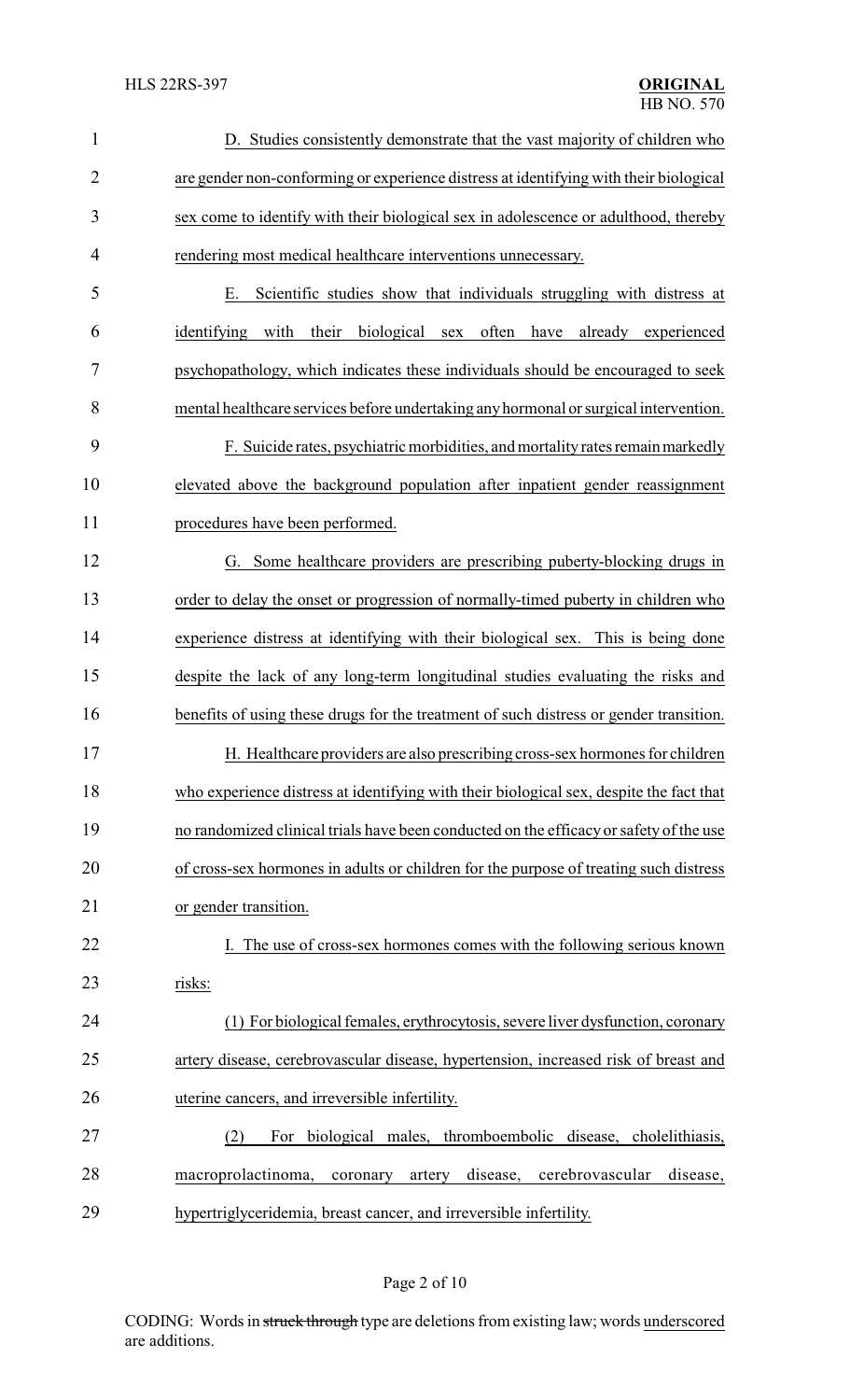| $\mathbf{1}$   | D. Studies consistently demonstrate that the vast majority of children who                |  |
|----------------|-------------------------------------------------------------------------------------------|--|
| $\overline{2}$ | are gender non-conforming or experience distress at identifying with their biological     |  |
| 3              | sex come to identify with their biological sex in adolescence or adulthood, thereby       |  |
| 4              | rendering most medical healthcare interventions unnecessary.                              |  |
| 5              | Scientific studies show that individuals struggling with distress at<br>Е.                |  |
| 6              | biological<br>often<br>identifying with<br>their<br>have<br>already<br>sex<br>experienced |  |
| 7              | psychopathology, which indicates these individuals should be encouraged to seek           |  |
| 8              | mental healthcare services before undertaking any hormonal or surgical intervention.      |  |
| 9              | F. Suicide rates, psychiatric morbidities, and mortality rates remain markedly            |  |
| 10             | elevated above the background population after inpatient gender reassignment              |  |
| 11             | procedures have been performed.                                                           |  |
| 12             | G. Some healthcare providers are prescribing puberty-blocking drugs in                    |  |
| 13             | order to delay the onset or progression of normally-timed puberty in children who         |  |
| 14             | experience distress at identifying with their biological sex. This is being done          |  |
| 15             | despite the lack of any long-term longitudinal studies evaluating the risks and           |  |
| 16             | benefits of using these drugs for the treatment of such distress or gender transition.    |  |
| 17             | H. Healthcare providers are also prescribing cross-sex hormones for children              |  |
| 18             | who experience distress at identifying with their biological sex, despite the fact that   |  |
| 19             | no randomized clinical trials have been conducted on the efficacy or safety of the use    |  |
| 20             | of cross-sex hormones in adults or children for the purpose of treating such distress     |  |
| 21             | or gender transition.                                                                     |  |
| 22             | I. The use of cross-sex hormones comes with the following serious known                   |  |
| 23             | risks:                                                                                    |  |
| 24             | (1) For biological females, erythrocytosis, severe liver dysfunction, coronary            |  |
| 25             | artery disease, cerebrovascular disease, hypertension, increased risk of breast and       |  |
| 26             | uterine cancers, and irreversible infertility.                                            |  |
| 27             | biological males, thromboembolic disease, cholelithiasis,<br>(2)<br>For                   |  |
| 28             | macroprolactinoma,<br>disease,<br>cerebrovascular<br>disease,<br>coronary<br>artery       |  |
| 29             | hypertriglyceridemia, breast cancer, and irreversible infertility.                        |  |

# Page 2 of 10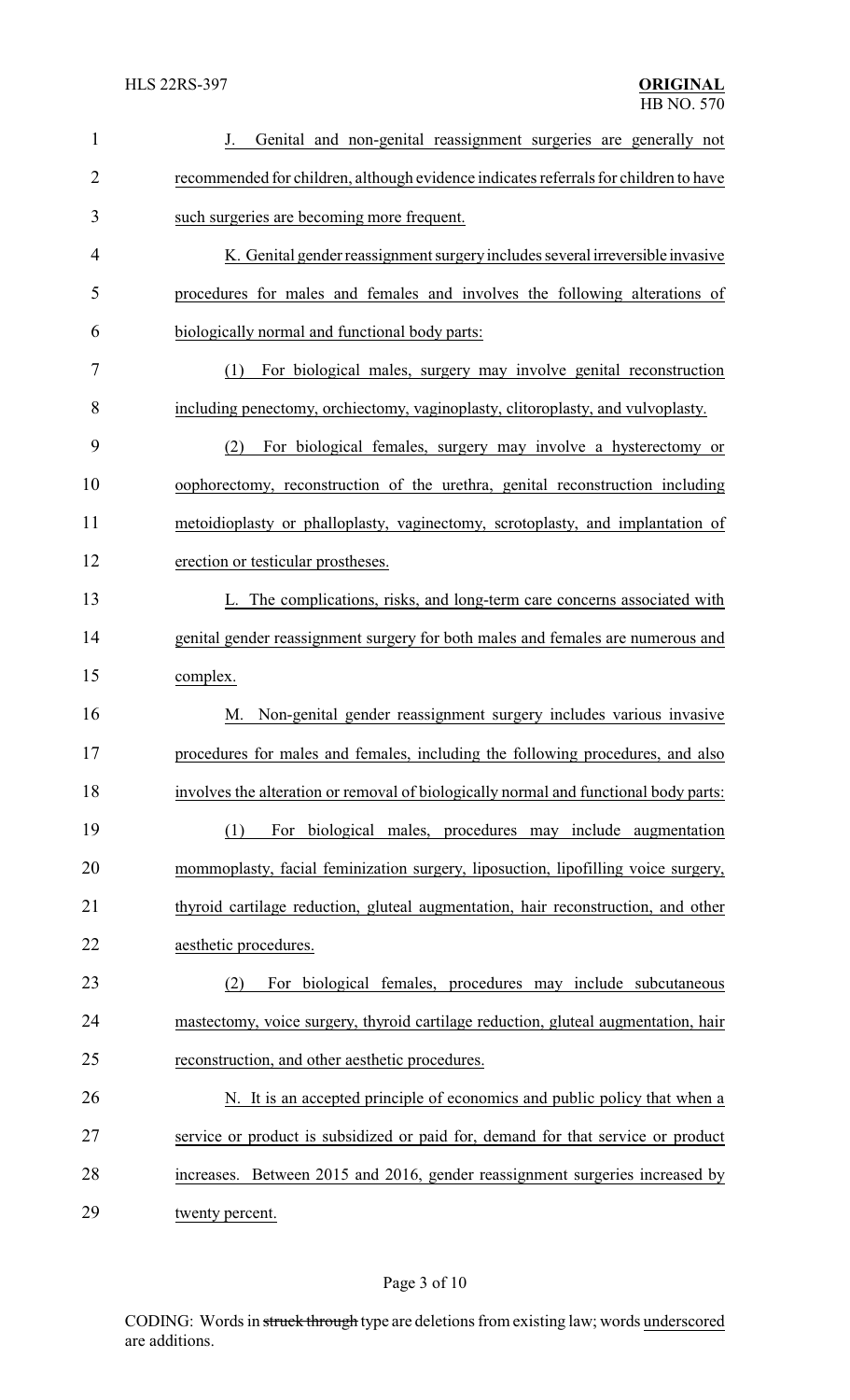| $\mathbf{1}$   | Genital and non-genital reassignment surgeries are generally not                     |
|----------------|--------------------------------------------------------------------------------------|
| $\overline{2}$ | recommended for children, although evidence indicates referrals for children to have |
| 3              | such surgeries are becoming more frequent.                                           |
| 4              | K. Genital gender reassignment surgery includes several irreversible invasive        |
| 5              | procedures for males and females and involves the following alterations of           |
| 6              | biologically normal and functional body parts:                                       |
| 7              | For biological males, surgery may involve genital reconstruction<br>(1)              |
| 8              | including penectomy, orchiectomy, vaginoplasty, clitoroplasty, and vulvoplasty.      |
| 9              | For biological females, surgery may involve a hysterectomy or<br>(2)                 |
| 10             | oophorectomy, reconstruction of the urethra, genital reconstruction including        |
| 11             | metoidioplasty or phalloplasty, vaginectomy, scrotoplasty, and implantation of       |
| 12             | erection or testicular prostheses.                                                   |
| 13             | L. The complications, risks, and long-term care concerns associated with             |
| 14             | genital gender reassignment surgery for both males and females are numerous and      |
| 15             | complex.                                                                             |
| 16             | Non-genital gender reassignment surgery includes various invasive<br>M.              |
| 17             | procedures for males and females, including the following procedures, and also       |
| 18             | involves the alteration or removal of biologically normal and functional body parts: |
| 19             | For biological males, procedures may include augmentation<br>(1)                     |
| 20             | mommoplasty, facial feminization surgery, liposuction, lipofilling voice surgery,    |
| 21             | thyroid cartilage reduction, gluteal augmentation, hair reconstruction, and other    |
| 22             | aesthetic procedures.                                                                |
| 23             | For biological females, procedures may include subcutaneous<br>(2)                   |
| 24             | mastectomy, voice surgery, thyroid cartilage reduction, gluteal augmentation, hair   |
| 25             | reconstruction, and other aesthetic procedures.                                      |
| 26             | N. It is an accepted principle of economics and public policy that when a            |
| 27             | service or product is subsidized or paid for, demand for that service or product     |
| 28             | increases. Between 2015 and 2016, gender reassignment surgeries increased by         |
| 29             | twenty percent.                                                                      |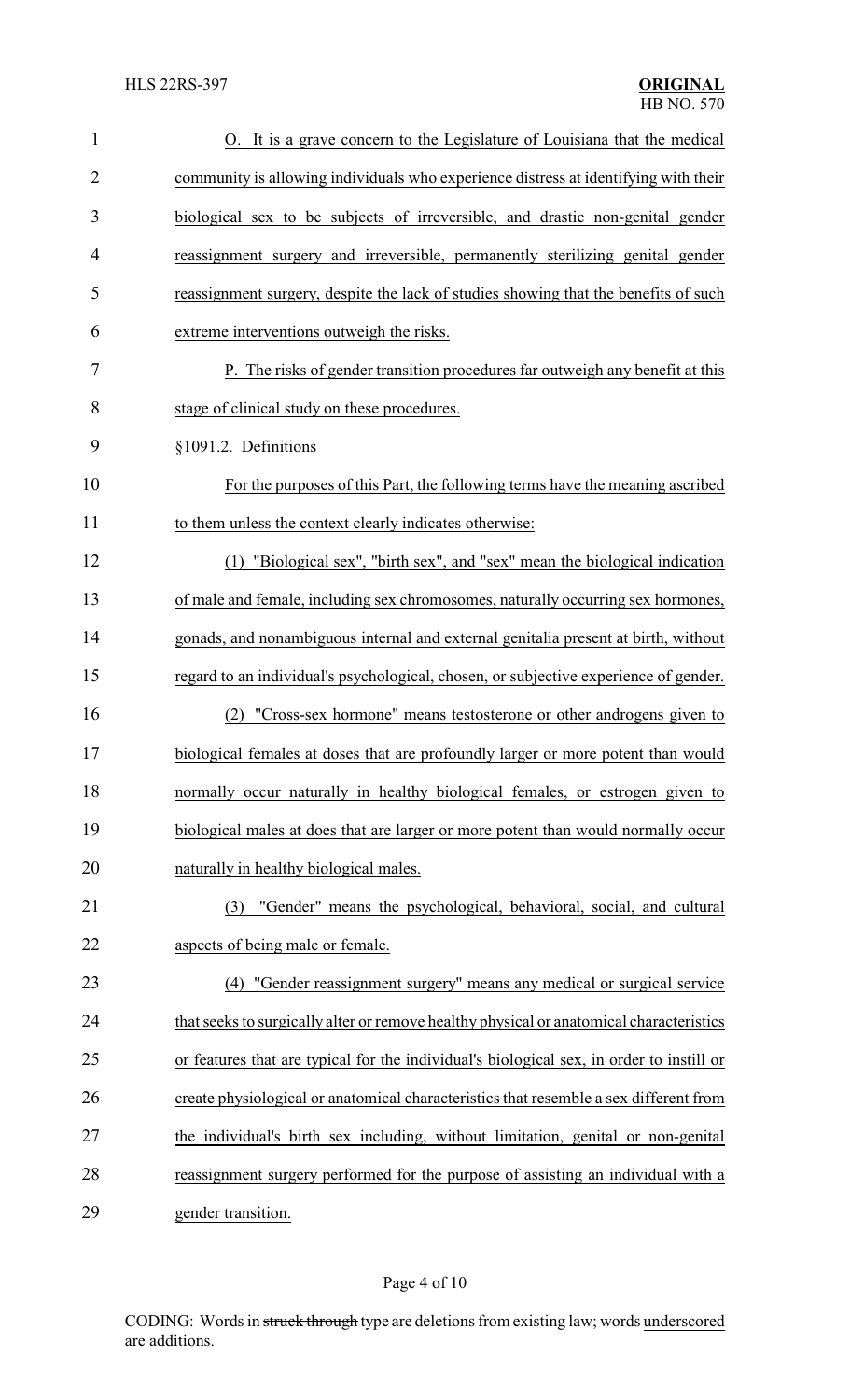| $\mathbf{1}$   | O. It is a grave concern to the Legislature of Louisiana that the medical                |
|----------------|------------------------------------------------------------------------------------------|
| $\overline{2}$ | community is allowing individuals who experience distress at identifying with their      |
| 3              | biological sex to be subjects of irreversible, and drastic non-genital gender            |
| 4              | reassignment surgery and irreversible, permanently sterilizing genital gender            |
| 5              | reassignment surgery, despite the lack of studies showing that the benefits of such      |
| 6              | extreme interventions outweigh the risks.                                                |
| 7              | P. The risks of gender transition procedures far outweigh any benefit at this            |
| 8              | stage of clinical study on these procedures.                                             |
| 9              | §1091.2. Definitions                                                                     |
| 10             | For the purposes of this Part, the following terms have the meaning ascribed             |
| 11             | to them unless the context clearly indicates otherwise:                                  |
| 12             | (1) "Biological sex", "birth sex", and "sex" mean the biological indication              |
| 13             | of male and female, including sex chromosomes, naturally occurring sex hormones,         |
| 14             | gonads, and nonambiguous internal and external genitalia present at birth, without       |
| 15             | regard to an individual's psychological, chosen, or subjective experience of gender.     |
| 16             | "Cross-sex hormone" means testosterone or other androgens given to<br>(2)                |
| 17             | biological females at doses that are profoundly larger or more potent than would         |
| 18             | normally occur naturally in healthy biological females, or estrogen given to             |
| 19             | biological males at does that are larger or more potent than would normally occur        |
| 20             | naturally in healthy biological males.                                                   |
| 21             | "Gender" means the psychological, behavioral, social, and cultural<br>(3)                |
| 22             | aspects of being male or female.                                                         |
| 23             | (4) "Gender reassignment surgery" means any medical or surgical service                  |
| 24             | that seeks to surgically alter or remove healthy physical or anatomical characteristics  |
| 25             | or features that are typical for the individual's biological sex, in order to instill or |
| 26             | create physiological or anatomical characteristics that resemble a sex different from    |
| 27             | the individual's birth sex including, without limitation, genital or non-genital         |
| 28             | reassignment surgery performed for the purpose of assisting an individual with a         |
| 29             | gender transition.                                                                       |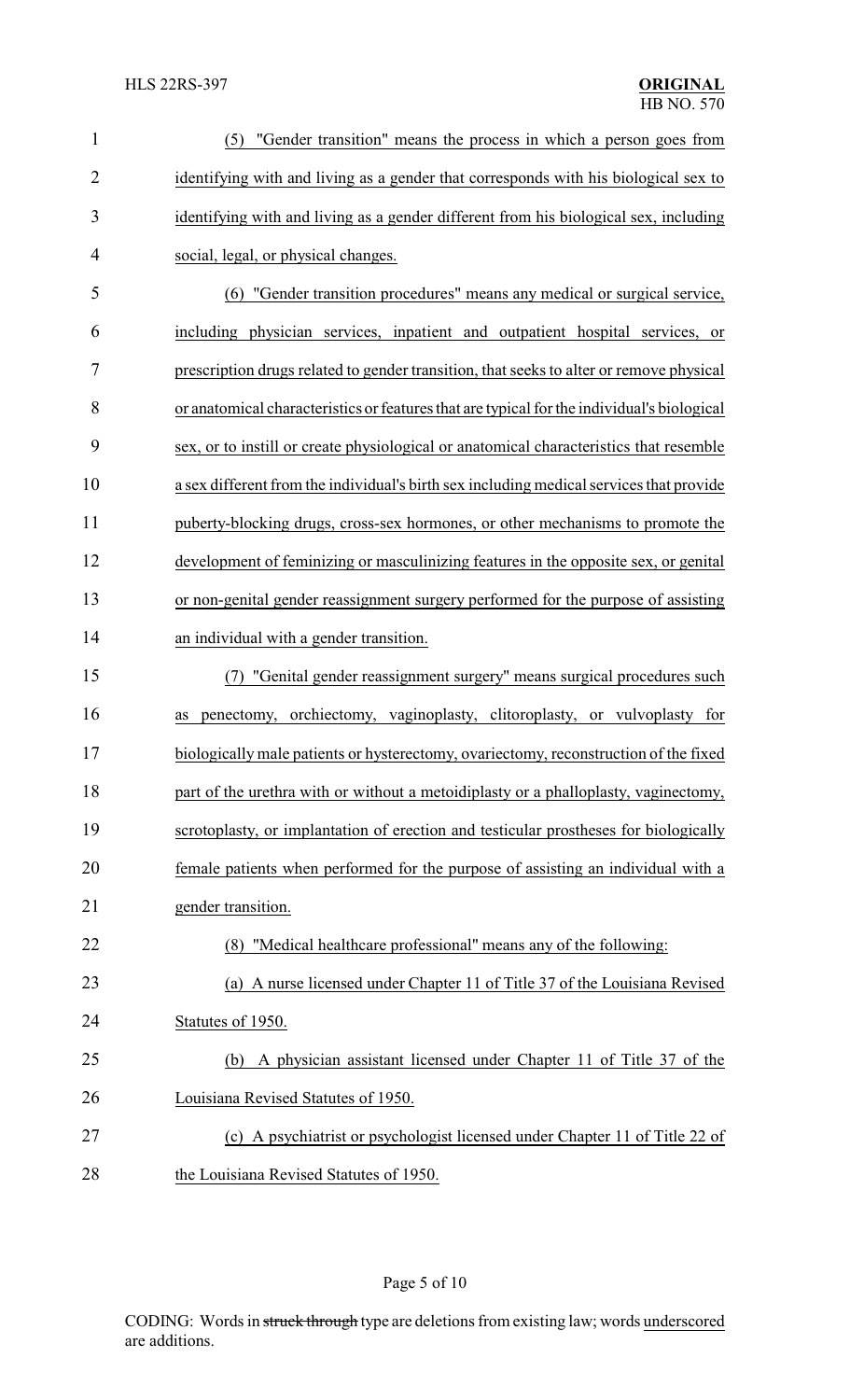| $\mathbf{1}$   | "Gender transition" means the process in which a person goes from<br>(5)                   |  |
|----------------|--------------------------------------------------------------------------------------------|--|
| $\overline{2}$ | identifying with and living as a gender that corresponds with his biological sex to        |  |
| 3              | identifying with and living as a gender different from his biological sex, including       |  |
| 4              | social, legal, or physical changes.                                                        |  |
| 5              | (6) "Gender transition procedures" means any medical or surgical service,                  |  |
| 6              | including physician services, inpatient and outpatient hospital services, or               |  |
| 7              | prescription drugs related to gender transition, that seeks to alter or remove physical    |  |
| 8              | or anatomical characteristics or features that are typical for the individual's biological |  |
| 9              | sex, or to instill or create physiological or anatomical characteristics that resemble     |  |
| 10             | a sex different from the individual's birth sex including medical services that provide    |  |
| 11             | puberty-blocking drugs, cross-sex hormones, or other mechanisms to promote the             |  |
| 12             | development of feminizing or masculinizing features in the opposite sex, or genital        |  |
| 13             | or non-genital gender reassignment surgery performed for the purpose of assisting          |  |
| 14             | an individual with a gender transition.                                                    |  |
| 15             | "Genital gender reassignment surgery" means surgical procedures such<br>(7)                |  |
| 16             | penectomy, orchiectomy, vaginoplasty, clitoroplasty, or vulvoplasty for<br>as              |  |
| 17             | biologically male patients or hysterectomy, ovariectomy, reconstruction of the fixed       |  |
| 18             | part of the urethra with or without a metoidiplasty or a phalloplasty, vaginectomy,        |  |
| 19             | scrotoplasty, or implantation of erection and testicular prostheses for biologically       |  |
| 20             | female patients when performed for the purpose of assisting an individual with a           |  |
| 21             | gender transition.                                                                         |  |
| 22             | (8) "Medical healthcare professional" means any of the following:                          |  |
| 23             | (a) A nurse licensed under Chapter 11 of Title 37 of the Louisiana Revised                 |  |
| 24             | Statutes of 1950.                                                                          |  |
| 25             | A physician assistant licensed under Chapter 11 of Title 37 of the<br>(b)                  |  |
| 26             | Louisiana Revised Statutes of 1950.                                                        |  |
| 27             | (c) A psychiatrist or psychologist licensed under Chapter 11 of Title 22 of                |  |
| 28             | the Louisiana Revised Statutes of 1950.                                                    |  |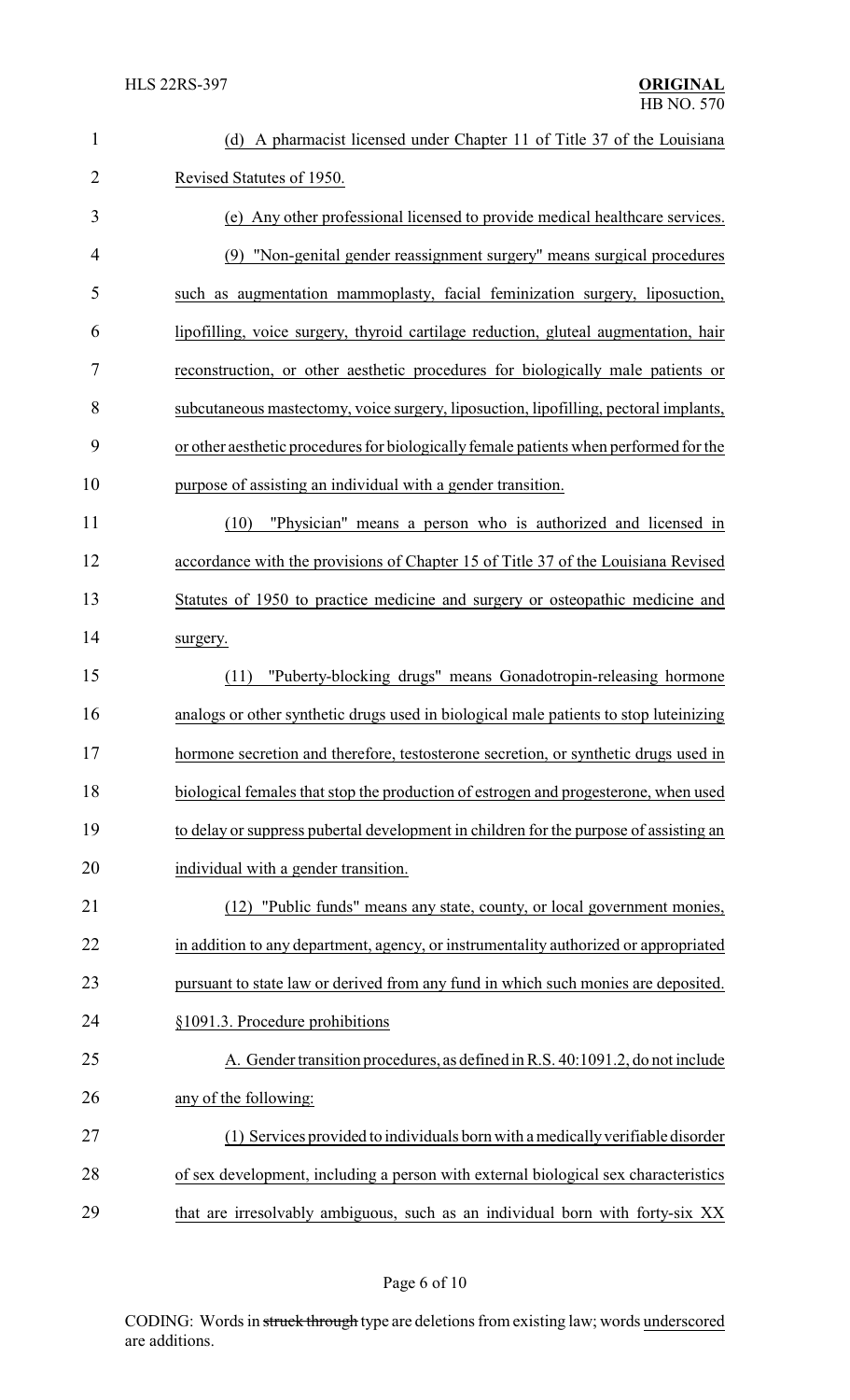| $\mathbf{1}$   | (d) A pharmacist licensed under Chapter 11 of Title 37 of the Louisiana               |
|----------------|---------------------------------------------------------------------------------------|
| $\overline{2}$ | Revised Statutes of 1950.                                                             |
| 3              | (e) Any other professional licensed to provide medical healthcare services.           |
| 4              | (9) "Non-genital gender reassignment surgery" means surgical procedures               |
| 5              | such as augmentation mammoplasty, facial feminization surgery, liposuction,           |
| 6              | lipofilling, voice surgery, thyroid cartilage reduction, gluteal augmentation, hair   |
| 7              | reconstruction, or other aesthetic procedures for biologically male patients or       |
| 8              | subcutaneous mastectomy, voice surgery, liposuction, lipofilling, pectoral implants,  |
| 9              | or other aesthetic procedures for biologically female patients when performed for the |
| 10             | purpose of assisting an individual with a gender transition.                          |
| 11             | (10)<br>"Physician" means a person who is authorized and licensed in                  |
| 12             | accordance with the provisions of Chapter 15 of Title 37 of the Louisiana Revised     |
| 13             | Statutes of 1950 to practice medicine and surgery or osteopathic medicine and         |
| 14             | surgery.                                                                              |
| 15             | "Puberty-blocking drugs" means Gonadotropin-releasing hormone<br>(11)                 |
| 16             | analogs or other synthetic drugs used in biological male patients to stop luteinizing |
| 17             | hormone secretion and therefore, testosterone secretion, or synthetic drugs used in   |
| 18             | biological females that stop the production of estrogen and progesterone, when used   |
| 19             | to delay or suppress pubertal development in children for the purpose of assisting an |
| 20             | individual with a gender transition.                                                  |
| 21             | "Public funds" means any state, county, or local government monies,<br>(12)           |
| 22             | in addition to any department, agency, or instrumentality authorized or appropriated  |
| 23             | pursuant to state law or derived from any fund in which such monies are deposited.    |
| 24             | §1091.3. Procedure prohibitions                                                       |
| 25             | A. Gender transition procedures, as defined in R.S. 40:1091.2, do not include         |
| 26             | any of the following:                                                                 |
| 27             | (1) Services provided to individuals born with a medically verifiable disorder        |
| 28             | of sex development, including a person with external biological sex characteristics   |
| 29             | that are irresolvably ambiguous, such as an individual born with forty-six XX         |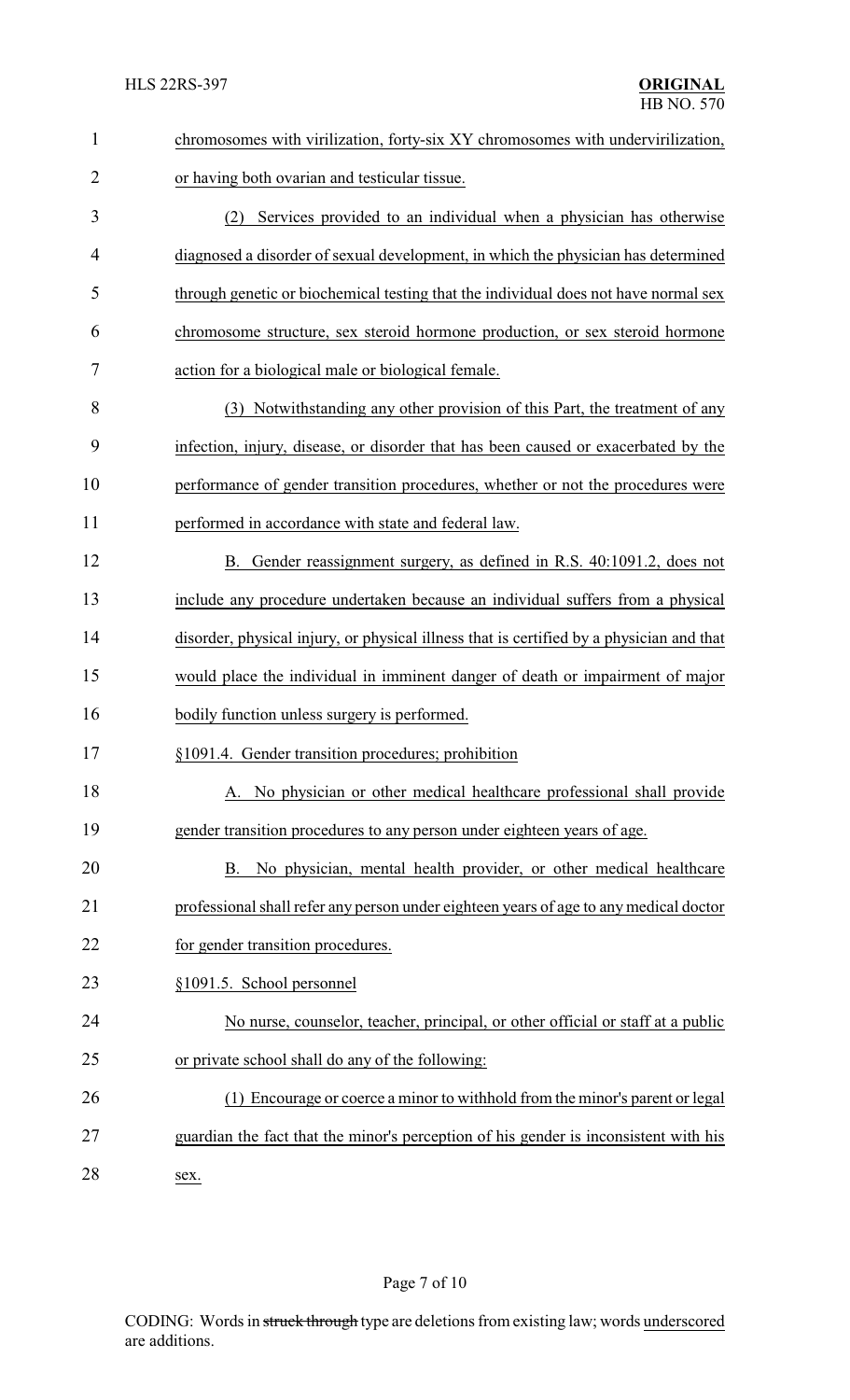| $\mathbf{1}$   | chromosomes with virilization, forty-six XY chromosomes with undervirilization,          |
|----------------|------------------------------------------------------------------------------------------|
| $\overline{2}$ | or having both ovarian and testicular tissue.                                            |
| 3              | (2) Services provided to an individual when a physician has otherwise                    |
| 4              | diagnosed a disorder of sexual development, in which the physician has determined        |
| 5              | through genetic or biochemical testing that the individual does not have normal sex      |
| 6              | chromosome structure, sex steroid hormone production, or sex steroid hormone             |
| 7              | action for a biological male or biological female.                                       |
| 8              | (3) Notwithstanding any other provision of this Part, the treatment of any               |
| 9              | infection, injury, disease, or disorder that has been caused or exacerbated by the       |
| 10             | performance of gender transition procedures, whether or not the procedures were          |
| 11             | performed in accordance with state and federal law.                                      |
| 12             | B. Gender reassignment surgery, as defined in R.S. 40:1091.2, does not                   |
| 13             | include any procedure undertaken because an individual suffers from a physical           |
| 14             | disorder, physical injury, or physical illness that is certified by a physician and that |
| 15             | would place the individual in imminent danger of death or impairment of major            |
| 16             | bodily function unless surgery is performed.                                             |
| 17             | §1091.4. Gender transition procedures; prohibition                                       |
| 18             | A. No physician or other medical healthcare professional shall provide                   |
| 19             | gender transition procedures to any person under eighteen years of age.                  |
| 20             | No physician, mental health provider, or other medical healthcare<br>B.                  |
| 21             | professional shall refer any person under eighteen years of age to any medical doctor    |
| 22             | for gender transition procedures.                                                        |
| 23             | §1091.5. School personnel                                                                |
| 24             | No nurse, counselor, teacher, principal, or other official or staff at a public          |
| 25             | or private school shall do any of the following:                                         |
| 26             | (1) Encourage or coerce a minor to withhold from the minor's parent or legal             |
| 27             | guardian the fact that the minor's perception of his gender is inconsistent with his     |
| 28             | sex.                                                                                     |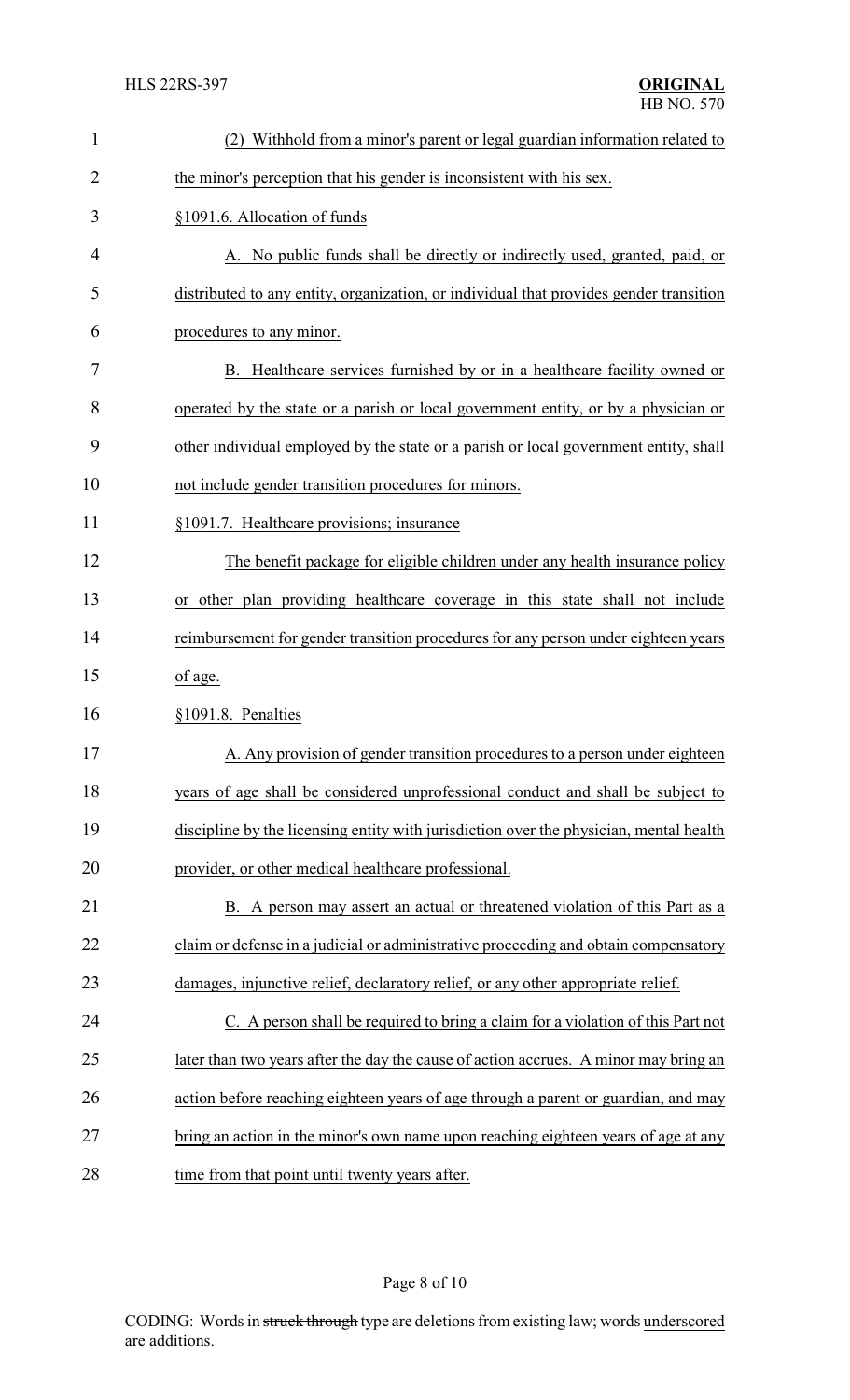| $\mathbf{1}$   | (2) Withhold from a minor's parent or legal guardian information related to            |  |
|----------------|----------------------------------------------------------------------------------------|--|
| $\overline{2}$ | the minor's perception that his gender is inconsistent with his sex.                   |  |
| 3              | §1091.6. Allocation of funds                                                           |  |
| 4              | A. No public funds shall be directly or indirectly used, granted, paid, or             |  |
| 5              | distributed to any entity, organization, or individual that provides gender transition |  |
| 6              | procedures to any minor.                                                               |  |
| 7              | B. Healthcare services furnished by or in a healthcare facility owned or               |  |
| 8              | operated by the state or a parish or local government entity, or by a physician or     |  |
| 9              | other individual employed by the state or a parish or local government entity, shall   |  |
| 10             | not include gender transition procedures for minors.                                   |  |
| 11             | §1091.7. Healthcare provisions; insurance                                              |  |
| 12             | The benefit package for eligible children under any health insurance policy            |  |
| 13             | or other plan providing healthcare coverage in this state shall not include            |  |
| 14             | reimbursement for gender transition procedures for any person under eighteen years     |  |
| 15             | of age.                                                                                |  |
| 16             | §1091.8. Penalties                                                                     |  |
| 17             | A. Any provision of gender transition procedures to a person under eighteen            |  |
| 18             | years of age shall be considered unprofessional conduct and shall be subject to        |  |
| 19             | discipline by the licensing entity with jurisdiction over the physician, mental health |  |
| 20             | provider, or other medical healthcare professional.                                    |  |
| 21             | B. A person may assert an actual or threatened violation of this Part as a             |  |
| 22             | claim or defense in a judicial or administrative proceeding and obtain compensatory    |  |
| 23             | damages, injunctive relief, declaratory relief, or any other appropriate relief.       |  |
| 24             | C. A person shall be required to bring a claim for a violation of this Part not        |  |
| 25             | later than two years after the day the cause of action accrues. A minor may bring an   |  |
| 26             | action before reaching eighteen years of age through a parent or guardian, and may     |  |
| 27             | bring an action in the minor's own name upon reaching eighteen years of age at any     |  |
| 28             | time from that point until twenty years after.                                         |  |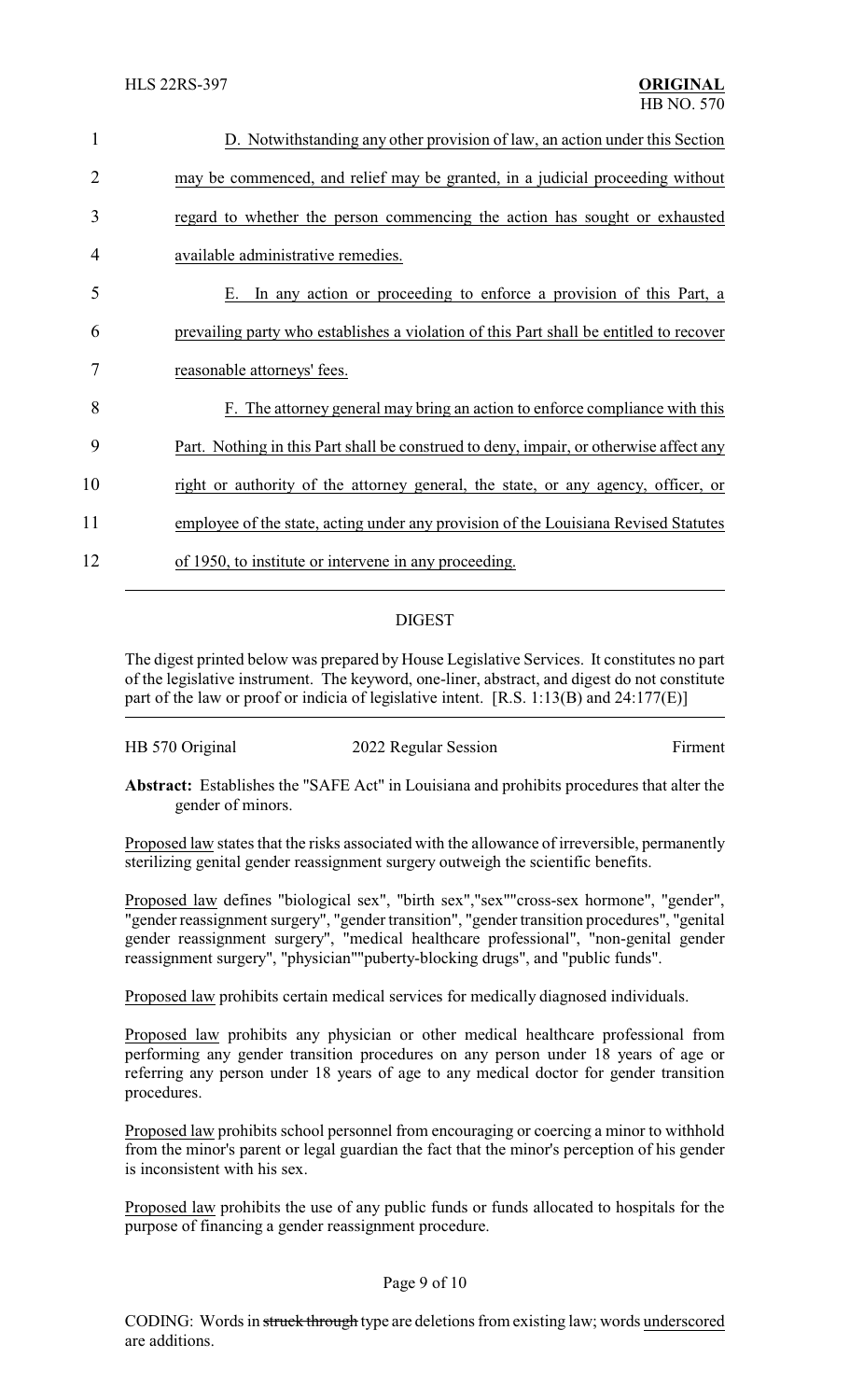| $\mathbf{1}$ | D. Notwithstanding any other provision of law, an action under this Section            |
|--------------|----------------------------------------------------------------------------------------|
| 2            | may be commenced, and relief may be granted, in a judicial proceeding without          |
| 3            | regard to whether the person commencing the action has sought or exhausted             |
| 4            | available administrative remedies.                                                     |
| 5            | In any action or proceeding to enforce a provision of this Part, a<br>Е.               |
| 6            | prevailing party who establishes a violation of this Part shall be entitled to recover |
| 7            | reasonable attorneys' fees.                                                            |
| 8            | F. The attorney general may bring an action to enforce compliance with this            |
| 9            | Part. Nothing in this Part shall be construed to deny, impair, or otherwise affect any |
| 10           | right or authority of the attorney general, the state, or any agency, officer, or      |
| 11           | employee of the state, acting under any provision of the Louisiana Revised Statutes    |
| 12           | of 1950, to institute or intervene in any proceeding.                                  |
|              |                                                                                        |

### DIGEST

The digest printed below was prepared by House Legislative Services. It constitutes no part of the legislative instrument. The keyword, one-liner, abstract, and digest do not constitute part of the law or proof or indicia of legislative intent. [R.S. 1:13(B) and 24:177(E)]

| HB 570 Original | 2022 Regular Session | Firment |
|-----------------|----------------------|---------|
|-----------------|----------------------|---------|

**Abstract:** Establishes the "SAFE Act" in Louisiana and prohibits procedures that alter the gender of minors.

Proposed law states that the risks associated with the allowance of irreversible, permanently sterilizing genital gender reassignment surgery outweigh the scientific benefits.

Proposed law defines "biological sex", "birth sex","sex""cross-sex hormone", "gender", "gender reassignment surgery", "gender transition", "gender transition procedures", "genital gender reassignment surgery", "medical healthcare professional", "non-genital gender reassignment surgery", "physician""puberty-blocking drugs", and "public funds".

Proposed law prohibits certain medical services for medically diagnosed individuals.

Proposed law prohibits any physician or other medical healthcare professional from performing any gender transition procedures on any person under 18 years of age or referring any person under 18 years of age to any medical doctor for gender transition procedures.

Proposed law prohibits school personnel from encouraging or coercing a minor to withhold from the minor's parent or legal guardian the fact that the minor's perception of his gender is inconsistent with his sex.

Proposed law prohibits the use of any public funds or funds allocated to hospitals for the purpose of financing a gender reassignment procedure.

#### Page 9 of 10

CODING: Words in struck through type are deletions from existing law; words underscored are additions.